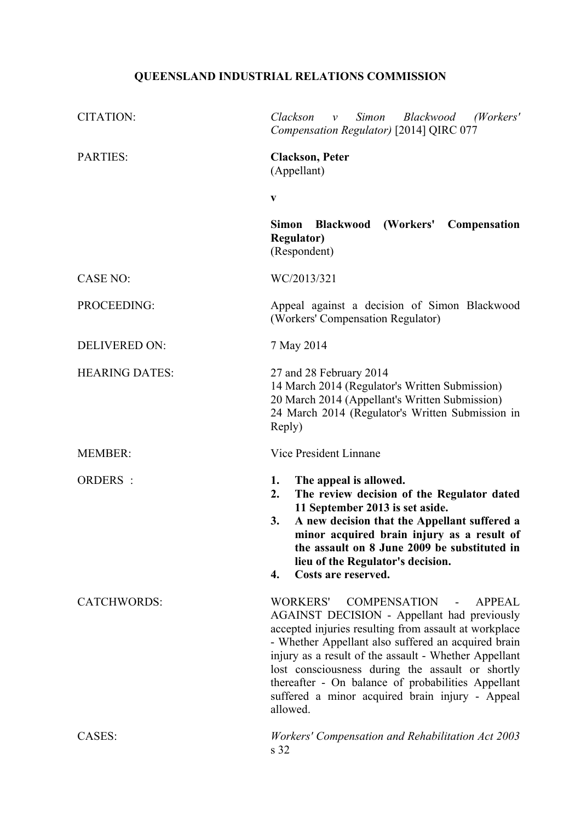# **QUEENSLAND INDUSTRIAL RELATIONS COMMISSION**

| <b>CITATION:</b>      | Simon<br>Blackwood (Workers'<br>Clackson<br>$\mathcal V$<br>Compensation Regulator) [2014] QIRC 077                                                                                                                                                                                                                                                                                                                                                                        |
|-----------------------|----------------------------------------------------------------------------------------------------------------------------------------------------------------------------------------------------------------------------------------------------------------------------------------------------------------------------------------------------------------------------------------------------------------------------------------------------------------------------|
| <b>PARTIES:</b>       | <b>Clackson, Peter</b><br>(Appellant)                                                                                                                                                                                                                                                                                                                                                                                                                                      |
|                       | $\mathbf{V}$                                                                                                                                                                                                                                                                                                                                                                                                                                                               |
|                       | (Workers'<br><b>Simon</b><br><b>Blackwood</b><br>Compensation<br><b>Regulator)</b><br>(Respondent)                                                                                                                                                                                                                                                                                                                                                                         |
| <b>CASE NO:</b>       | WC/2013/321                                                                                                                                                                                                                                                                                                                                                                                                                                                                |
| PROCEEDING:           | Appeal against a decision of Simon Blackwood<br>(Workers' Compensation Regulator)                                                                                                                                                                                                                                                                                                                                                                                          |
| <b>DELIVERED ON:</b>  | 7 May 2014                                                                                                                                                                                                                                                                                                                                                                                                                                                                 |
| <b>HEARING DATES:</b> | 27 and 28 February 2014<br>14 March 2014 (Regulator's Written Submission)<br>20 March 2014 (Appellant's Written Submission)<br>24 March 2014 (Regulator's Written Submission in<br>Reply)                                                                                                                                                                                                                                                                                  |
| <b>MEMBER:</b>        | Vice President Linnane                                                                                                                                                                                                                                                                                                                                                                                                                                                     |
| ORDERS :              | The appeal is allowed.<br>1.<br>2.<br>The review decision of the Regulator dated<br>11 September 2013 is set aside.<br>3.<br>A new decision that the Appellant suffered a<br>minor acquired brain injury as a result of<br>the assault on 8 June 2009 be substituted in<br>lieu of the Regulator's decision.<br>Costs are reserved.<br>4.                                                                                                                                  |
| <b>CATCHWORDS:</b>    | <b>COMPENSATION</b><br><b>WORKERS'</b><br><b>APPEAL</b><br>$\blacksquare$<br>AGAINST DECISION - Appellant had previously<br>accepted injuries resulting from assault at workplace<br>- Whether Appellant also suffered an acquired brain<br>injury as a result of the assault - Whether Appellant<br>lost consciousness during the assault or shortly<br>thereafter - On balance of probabilities Appellant<br>suffered a minor acquired brain injury - Appeal<br>allowed. |
| CASES:                | Workers' Compensation and Rehabilitation Act 2003<br>s 32                                                                                                                                                                                                                                                                                                                                                                                                                  |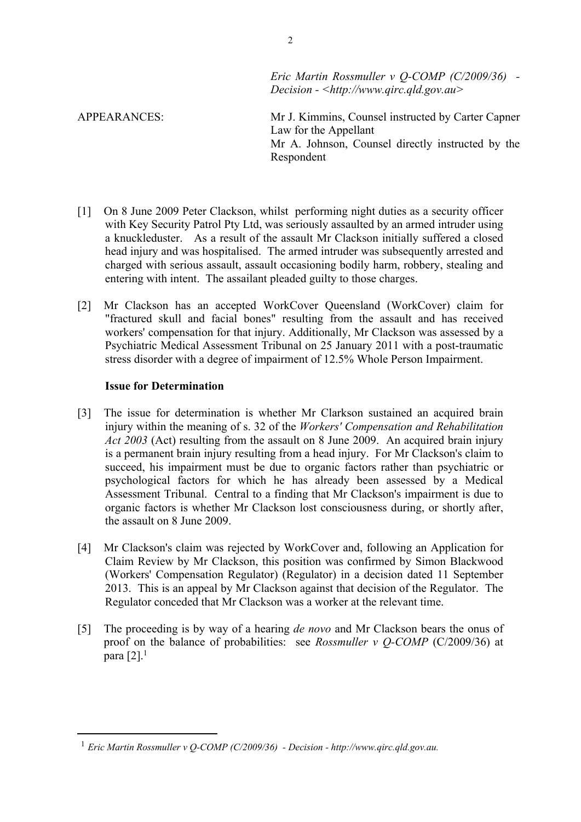*Eric Martin Rossmuller v Q-COMP (C/2009/36) - Decision - <http://www.qirc.qld.gov.au>*

APPEARANCES: Mr J. Kimmins, Counsel instructed by Carter Capner Law for the Appellant Mr A. Johnson, Counsel directly instructed by the Respondent

- [1] On 8 June 2009 Peter Clackson, whilst performing night duties as a security officer with Key Security Patrol Pty Ltd, was seriously assaulted by an armed intruder using a knuckleduster. As a result of the assault Mr Clackson initially suffered a closed head injury and was hospitalised. The armed intruder was subsequently arrested and charged with serious assault, assault occasioning bodily harm, robbery, stealing and entering with intent. The assailant pleaded guilty to those charges.
- [2] Mr Clackson has an accepted WorkCover Queensland (WorkCover) claim for "fractured skull and facial bones" resulting from the assault and has received workers' compensation for that injury. Additionally, Mr Clackson was assessed by a Psychiatric Medical Assessment Tribunal on 25 January 2011 with a post-traumatic stress disorder with a degree of impairment of 12.5% Whole Person Impairment.

# **Issue for Determination**

- [3] The issue for determination is whether Mr Clarkson sustained an acquired brain injury within the meaning of s. 32 of the *Workers' Compensation and Rehabilitation Act 2003* (Act) resulting from the assault on 8 June 2009. An acquired brain injury is a permanent brain injury resulting from a head injury. For Mr Clackson's claim to succeed, his impairment must be due to organic factors rather than psychiatric or psychological factors for which he has already been assessed by a Medical Assessment Tribunal. Central to a finding that Mr Clackson's impairment is due to organic factors is whether Mr Clackson lost consciousness during, or shortly after, the assault on 8 June 2009.
- [4] Mr Clackson's claim was rejected by WorkCover and, following an Application for Claim Review by Mr Clackson, this position was confirmed by Simon Blackwood (Workers' Compensation Regulator) (Regulator) in a decision dated 11 September 2013. This is an appeal by Mr Clackson against that decision of the Regulator. The Regulator conceded that Mr Clackson was a worker at the relevant time.
- [5] The proceeding is by way of a hearing *de novo* and Mr Clackson bears the onus of proof on the balance of probabilities: see *Rossmuller v Q-COMP* (C/2009/36) at para  $[2]$ <sup>1</sup>

2

<sup>1</sup> *Eric Martin Rossmuller v Q-COMP (C/2009/36) - Decision - http://www.qirc.qld.gov.au.*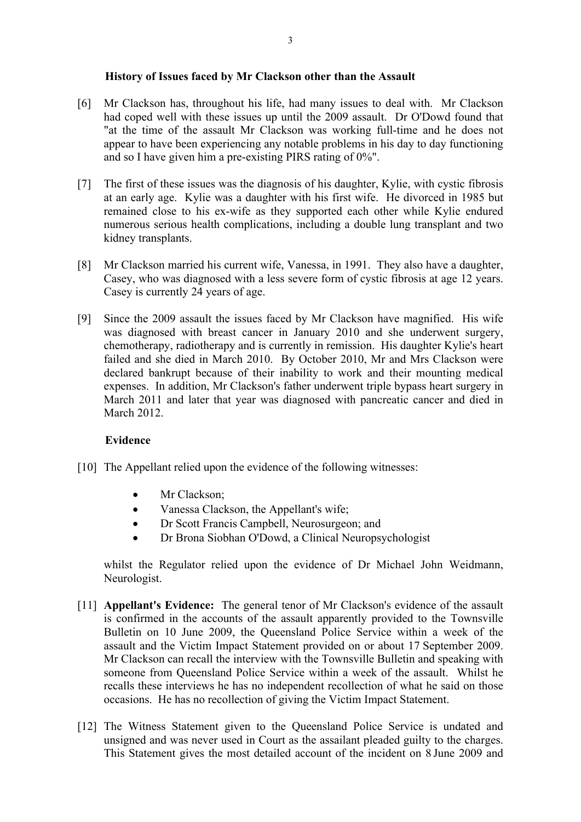#### **History of Issues faced by Mr Clackson other than the Assault**

- [6] Mr Clackson has, throughout his life, had many issues to deal with. Mr Clackson had coped well with these issues up until the 2009 assault. Dr O'Dowd found that "at the time of the assault Mr Clackson was working full-time and he does not appear to have been experiencing any notable problems in his day to day functioning and so I have given him a pre-existing PIRS rating of 0%".
- [7] The first of these issues was the diagnosis of his daughter, Kylie, with cystic fibrosis at an early age. Kylie was a daughter with his first wife. He divorced in 1985 but remained close to his ex-wife as they supported each other while Kylie endured numerous serious health complications, including a double lung transplant and two kidney transplants.
- [8] Mr Clackson married his current wife, Vanessa, in 1991. They also have a daughter, Casey, who was diagnosed with a less severe form of cystic fibrosis at age 12 years. Casey is currently 24 years of age.
- [9] Since the 2009 assault the issues faced by Mr Clackson have magnified. His wife was diagnosed with breast cancer in January 2010 and she underwent surgery, chemotherapy, radiotherapy and is currently in remission. His daughter Kylie's heart failed and she died in March 2010. By October 2010, Mr and Mrs Clackson were declared bankrupt because of their inability to work and their mounting medical expenses. In addition, Mr Clackson's father underwent triple bypass heart surgery in March 2011 and later that year was diagnosed with pancreatic cancer and died in March 2012

# **Evidence**

- [10] The Appellant relied upon the evidence of the following witnesses:
	- Mr Clackson:
	- Vanessa Clackson, the Appellant's wife;
	- Dr Scott Francis Campbell, Neurosurgeon; and
	- Dr Brona Siobhan O'Dowd, a Clinical Neuropsychologist

whilst the Regulator relied upon the evidence of Dr Michael John Weidmann, Neurologist.

- [11] **Appellant's Evidence:** The general tenor of Mr Clackson's evidence of the assault is confirmed in the accounts of the assault apparently provided to the Townsville Bulletin on 10 June 2009, the Queensland Police Service within a week of the assault and the Victim Impact Statement provided on or about 17 September 2009. Mr Clackson can recall the interview with the Townsville Bulletin and speaking with someone from Queensland Police Service within a week of the assault. Whilst he recalls these interviews he has no independent recollection of what he said on those occasions. He has no recollection of giving the Victim Impact Statement.
- [12] The Witness Statement given to the Queensland Police Service is undated and unsigned and was never used in Court as the assailant pleaded guilty to the charges. This Statement gives the most detailed account of the incident on 8 June 2009 and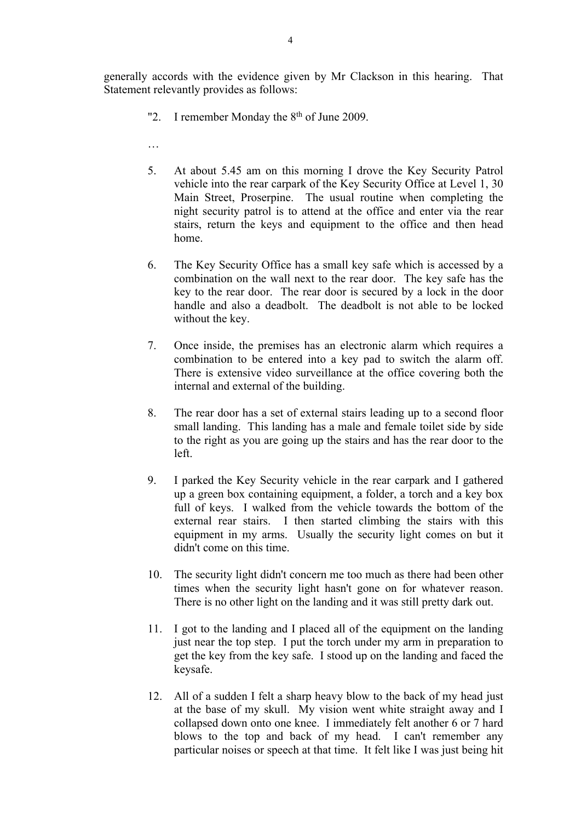generally accords with the evidence given by Mr Clackson in this hearing. That Statement relevantly provides as follows:

- "2. I remember Monday the 8th of June 2009.
- …
- 5. At about 5.45 am on this morning I drove the Key Security Patrol vehicle into the rear carpark of the Key Security Office at Level 1, 30 Main Street, Proserpine. The usual routine when completing the night security patrol is to attend at the office and enter via the rear stairs, return the keys and equipment to the office and then head home.
- 6. The Key Security Office has a small key safe which is accessed by a combination on the wall next to the rear door. The key safe has the key to the rear door. The rear door is secured by a lock in the door handle and also a deadbolt. The deadbolt is not able to be locked without the key.
- 7. Once inside, the premises has an electronic alarm which requires a combination to be entered into a key pad to switch the alarm off. There is extensive video surveillance at the office covering both the internal and external of the building.
- 8. The rear door has a set of external stairs leading up to a second floor small landing. This landing has a male and female toilet side by side to the right as you are going up the stairs and has the rear door to the left.
- 9. I parked the Key Security vehicle in the rear carpark and I gathered up a green box containing equipment, a folder, a torch and a key box full of keys. I walked from the vehicle towards the bottom of the external rear stairs. I then started climbing the stairs with this equipment in my arms. Usually the security light comes on but it didn't come on this time.
- 10. The security light didn't concern me too much as there had been other times when the security light hasn't gone on for whatever reason. There is no other light on the landing and it was still pretty dark out.
- 11. I got to the landing and I placed all of the equipment on the landing just near the top step. I put the torch under my arm in preparation to get the key from the key safe. I stood up on the landing and faced the keysafe.
- 12. All of a sudden I felt a sharp heavy blow to the back of my head just at the base of my skull. My vision went white straight away and I collapsed down onto one knee. I immediately felt another 6 or 7 hard blows to the top and back of my head. I can't remember any particular noises or speech at that time. It felt like I was just being hit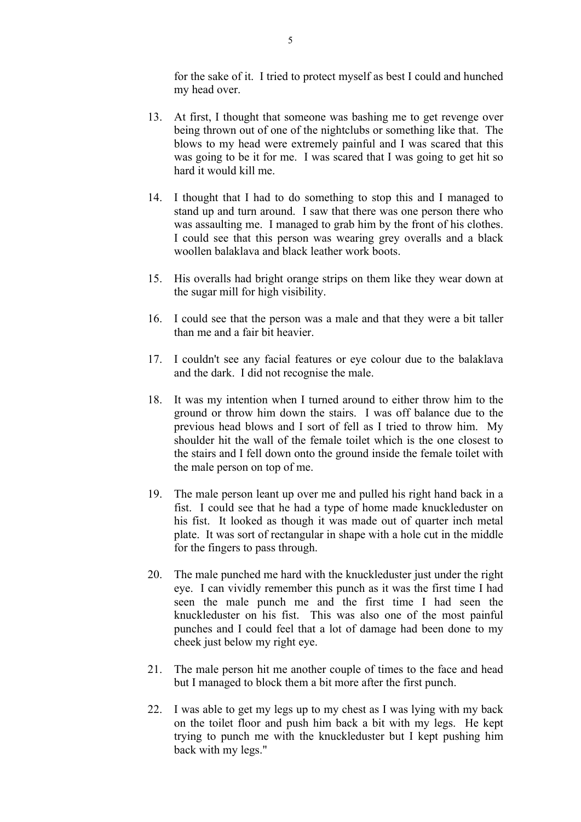for the sake of it. I tried to protect myself as best I could and hunched my head over.

- 13. At first, I thought that someone was bashing me to get revenge over being thrown out of one of the nightclubs or something like that. The blows to my head were extremely painful and I was scared that this was going to be it for me. I was scared that I was going to get hit so hard it would kill me.
- 14. I thought that I had to do something to stop this and I managed to stand up and turn around. I saw that there was one person there who was assaulting me. I managed to grab him by the front of his clothes. I could see that this person was wearing grey overalls and a black woollen balaklava and black leather work boots.
- 15. His overalls had bright orange strips on them like they wear down at the sugar mill for high visibility.
- 16. I could see that the person was a male and that they were a bit taller than me and a fair bit heavier.
- 17. I couldn't see any facial features or eye colour due to the balaklava and the dark. I did not recognise the male.
- 18. It was my intention when I turned around to either throw him to the ground or throw him down the stairs. I was off balance due to the previous head blows and I sort of fell as I tried to throw him. My shoulder hit the wall of the female toilet which is the one closest to the stairs and I fell down onto the ground inside the female toilet with the male person on top of me.
- 19. The male person leant up over me and pulled his right hand back in a fist. I could see that he had a type of home made knuckleduster on his fist. It looked as though it was made out of quarter inch metal plate. It was sort of rectangular in shape with a hole cut in the middle for the fingers to pass through.
- 20. The male punched me hard with the knuckleduster just under the right eye. I can vividly remember this punch as it was the first time I had seen the male punch me and the first time I had seen the knuckleduster on his fist. This was also one of the most painful punches and I could feel that a lot of damage had been done to my cheek just below my right eye.
- 21. The male person hit me another couple of times to the face and head but I managed to block them a bit more after the first punch.
- 22. I was able to get my legs up to my chest as I was lying with my back on the toilet floor and push him back a bit with my legs. He kept trying to punch me with the knuckleduster but I kept pushing him back with my legs."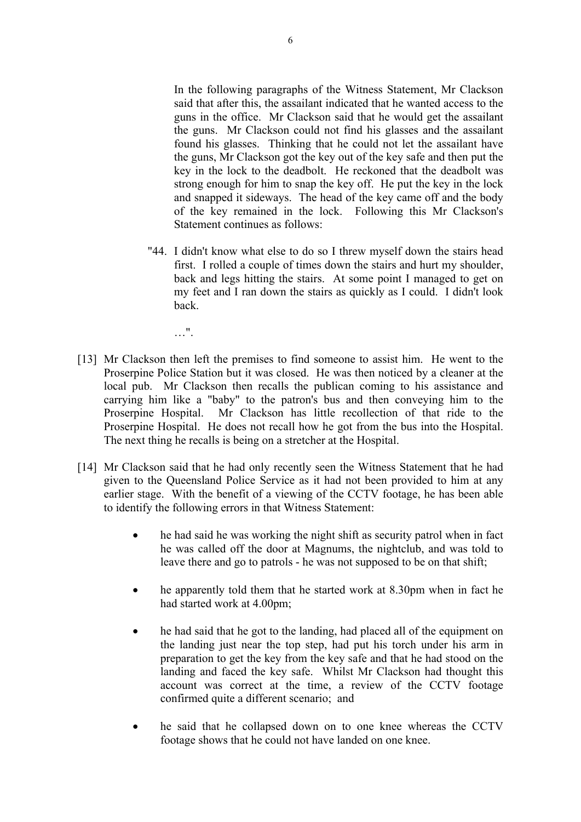In the following paragraphs of the Witness Statement, Mr Clackson said that after this, the assailant indicated that he wanted access to the guns in the office. Mr Clackson said that he would get the assailant the guns. Mr Clackson could not find his glasses and the assailant found his glasses. Thinking that he could not let the assailant have the guns, Mr Clackson got the key out of the key safe and then put the key in the lock to the deadbolt. He reckoned that the deadbolt was strong enough for him to snap the key off. He put the key in the lock and snapped it sideways. The head of the key came off and the body of the key remained in the lock. Following this Mr Clackson's Statement continues as follows:

- "44. I didn't know what else to do so I threw myself down the stairs head first. I rolled a couple of times down the stairs and hurt my shoulder, back and legs hitting the stairs. At some point I managed to get on my feet and I ran down the stairs as quickly as I could. I didn't look back.
	- $\ldots$  ".
- [13] Mr Clackson then left the premises to find someone to assist him. He went to the Proserpine Police Station but it was closed. He was then noticed by a cleaner at the local pub. Mr Clackson then recalls the publican coming to his assistance and carrying him like a "baby" to the patron's bus and then conveying him to the Proserpine Hospital. Mr Clackson has little recollection of that ride to the Proserpine Hospital. He does not recall how he got from the bus into the Hospital. The next thing he recalls is being on a stretcher at the Hospital.
- [14] Mr Clackson said that he had only recently seen the Witness Statement that he had given to the Queensland Police Service as it had not been provided to him at any earlier stage. With the benefit of a viewing of the CCTV footage, he has been able to identify the following errors in that Witness Statement:
	- he had said he was working the night shift as security patrol when in fact he was called off the door at Magnums, the nightclub, and was told to leave there and go to patrols - he was not supposed to be on that shift;
	- he apparently told them that he started work at 8.30pm when in fact he had started work at 4.00pm;
	- he had said that he got to the landing, had placed all of the equipment on the landing just near the top step, had put his torch under his arm in preparation to get the key from the key safe and that he had stood on the landing and faced the key safe. Whilst Mr Clackson had thought this account was correct at the time, a review of the CCTV footage confirmed quite a different scenario; and
	- he said that he collapsed down on to one knee whereas the CCTV footage shows that he could not have landed on one knee.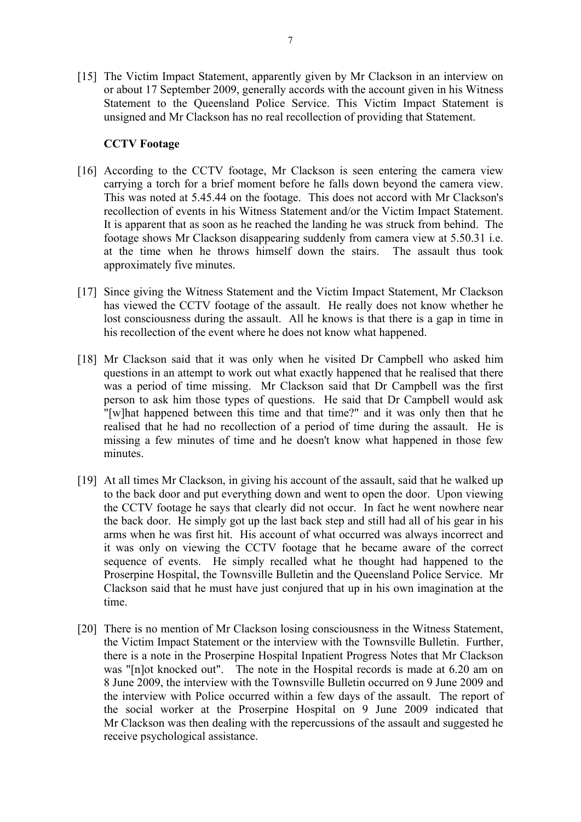[15] The Victim Impact Statement, apparently given by Mr Clackson in an interview on or about 17 September 2009, generally accords with the account given in his Witness Statement to the Queensland Police Service. This Victim Impact Statement is unsigned and Mr Clackson has no real recollection of providing that Statement.

## **CCTV Footage**

- [16] According to the CCTV footage, Mr Clackson is seen entering the camera view carrying a torch for a brief moment before he falls down beyond the camera view. This was noted at 5.45.44 on the footage. This does not accord with Mr Clackson's recollection of events in his Witness Statement and/or the Victim Impact Statement. It is apparent that as soon as he reached the landing he was struck from behind. The footage shows Mr Clackson disappearing suddenly from camera view at 5.50.31 i.e. at the time when he throws himself down the stairs. The assault thus took approximately five minutes.
- [17] Since giving the Witness Statement and the Victim Impact Statement, Mr Clackson has viewed the CCTV footage of the assault. He really does not know whether he lost consciousness during the assault. All he knows is that there is a gap in time in his recollection of the event where he does not know what happened.
- [18] Mr Clackson said that it was only when he visited Dr Campbell who asked him questions in an attempt to work out what exactly happened that he realised that there was a period of time missing. Mr Clackson said that Dr Campbell was the first person to ask him those types of questions. He said that Dr Campbell would ask "[w]hat happened between this time and that time?" and it was only then that he realised that he had no recollection of a period of time during the assault. He is missing a few minutes of time and he doesn't know what happened in those few minutes.
- [19] At all times Mr Clackson, in giving his account of the assault, said that he walked up to the back door and put everything down and went to open the door. Upon viewing the CCTV footage he says that clearly did not occur. In fact he went nowhere near the back door. He simply got up the last back step and still had all of his gear in his arms when he was first hit. His account of what occurred was always incorrect and it was only on viewing the CCTV footage that he became aware of the correct sequence of events. He simply recalled what he thought had happened to the Proserpine Hospital, the Townsville Bulletin and the Queensland Police Service. Mr Clackson said that he must have just conjured that up in his own imagination at the time.
- [20] There is no mention of Mr Clackson losing consciousness in the Witness Statement, the Victim Impact Statement or the interview with the Townsville Bulletin. Further, there is a note in the Proserpine Hospital Inpatient Progress Notes that Mr Clackson was "[n]ot knocked out". The note in the Hospital records is made at 6.20 am on 8 June 2009, the interview with the Townsville Bulletin occurred on 9 June 2009 and the interview with Police occurred within a few days of the assault. The report of the social worker at the Proserpine Hospital on 9 June 2009 indicated that Mr Clackson was then dealing with the repercussions of the assault and suggested he receive psychological assistance.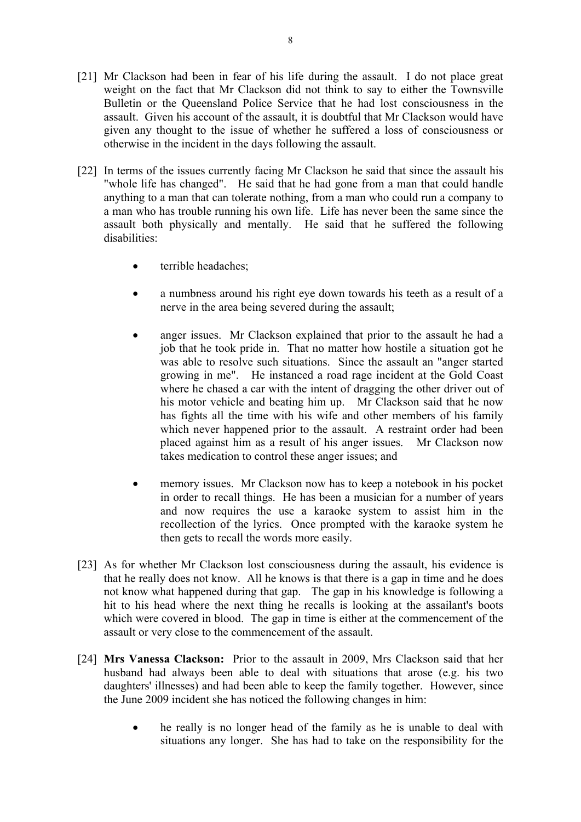- [21] Mr Clackson had been in fear of his life during the assault. I do not place great weight on the fact that Mr Clackson did not think to say to either the Townsville Bulletin or the Queensland Police Service that he had lost consciousness in the assault. Given his account of the assault, it is doubtful that Mr Clackson would have given any thought to the issue of whether he suffered a loss of consciousness or otherwise in the incident in the days following the assault.
- [22] In terms of the issues currently facing Mr Clackson he said that since the assault his "whole life has changed". He said that he had gone from a man that could handle anything to a man that can tolerate nothing, from a man who could run a company to a man who has trouble running his own life. Life has never been the same since the assault both physically and mentally. He said that he suffered the following disabilities:
	- terrible headaches;
	- a numbness around his right eye down towards his teeth as a result of a nerve in the area being severed during the assault;
	- anger issues. Mr Clackson explained that prior to the assault he had a job that he took pride in. That no matter how hostile a situation got he was able to resolve such situations. Since the assault an "anger started growing in me". He instanced a road rage incident at the Gold Coast where he chased a car with the intent of dragging the other driver out of his motor vehicle and beating him up. Mr Clackson said that he now has fights all the time with his wife and other members of his family which never happened prior to the assault. A restraint order had been placed against him as a result of his anger issues. Mr Clackson now takes medication to control these anger issues; and
	- memory issues. Mr Clackson now has to keep a notebook in his pocket in order to recall things. He has been a musician for a number of years and now requires the use a karaoke system to assist him in the recollection of the lyrics. Once prompted with the karaoke system he then gets to recall the words more easily.
- [23] As for whether Mr Clackson lost consciousness during the assault, his evidence is that he really does not know. All he knows is that there is a gap in time and he does not know what happened during that gap. The gap in his knowledge is following a hit to his head where the next thing he recalls is looking at the assailant's boots which were covered in blood. The gap in time is either at the commencement of the assault or very close to the commencement of the assault.
- [24] **Mrs Vanessa Clackson:** Prior to the assault in 2009, Mrs Clackson said that her husband had always been able to deal with situations that arose (e.g. his two daughters' illnesses) and had been able to keep the family together. However, since the June 2009 incident she has noticed the following changes in him:
	- he really is no longer head of the family as he is unable to deal with situations any longer. She has had to take on the responsibility for the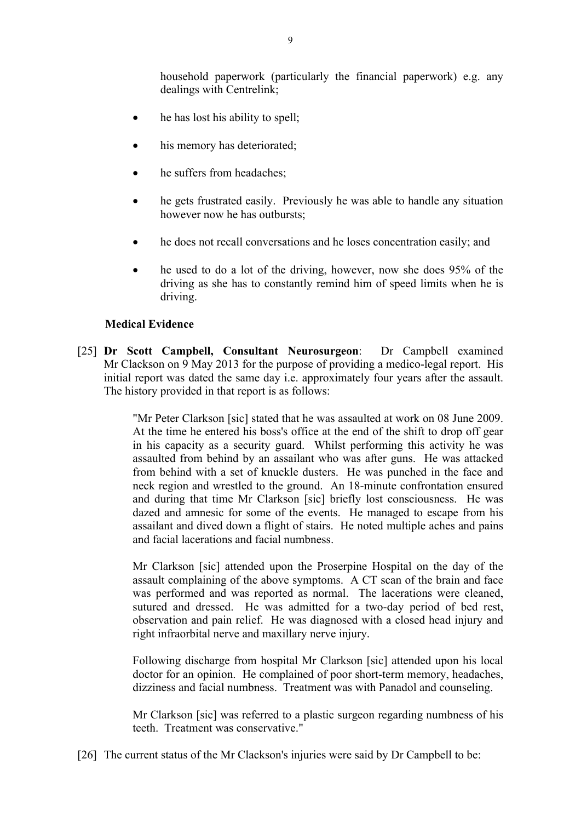household paperwork (particularly the financial paperwork) e.g. any dealings with Centrelink;

- he has lost his ability to spell;
- his memory has deteriorated;
- he suffers from headaches;
- he gets frustrated easily. Previously he was able to handle any situation however now he has outbursts;
- he does not recall conversations and he loses concentration easily; and
- he used to do a lot of the driving, however, now she does 95% of the driving as she has to constantly remind him of speed limits when he is driving.

#### **Medical Evidence**

[25] **Dr Scott Campbell, Consultant Neurosurgeon**:Dr Campbell examined Mr Clackson on 9 May 2013 for the purpose of providing a medico-legal report. His initial report was dated the same day i.e. approximately four years after the assault. The history provided in that report is as follows:

> "Mr Peter Clarkson [sic] stated that he was assaulted at work on 08 June 2009. At the time he entered his boss's office at the end of the shift to drop off gear in his capacity as a security guard. Whilst performing this activity he was assaulted from behind by an assailant who was after guns. He was attacked from behind with a set of knuckle dusters. He was punched in the face and neck region and wrestled to the ground. An 18-minute confrontation ensured and during that time Mr Clarkson [sic] briefly lost consciousness. He was dazed and amnesic for some of the events. He managed to escape from his assailant and dived down a flight of stairs. He noted multiple aches and pains and facial lacerations and facial numbness.

> Mr Clarkson [sic] attended upon the Proserpine Hospital on the day of the assault complaining of the above symptoms. A CT scan of the brain and face was performed and was reported as normal. The lacerations were cleaned, sutured and dressed. He was admitted for a two-day period of bed rest, observation and pain relief. He was diagnosed with a closed head injury and right infraorbital nerve and maxillary nerve injury.

> Following discharge from hospital Mr Clarkson [sic] attended upon his local doctor for an opinion. He complained of poor short-term memory, headaches, dizziness and facial numbness. Treatment was with Panadol and counseling.

> Mr Clarkson [sic] was referred to a plastic surgeon regarding numbness of his teeth. Treatment was conservative."

[26] The current status of the Mr Clackson's injuries were said by Dr Campbell to be: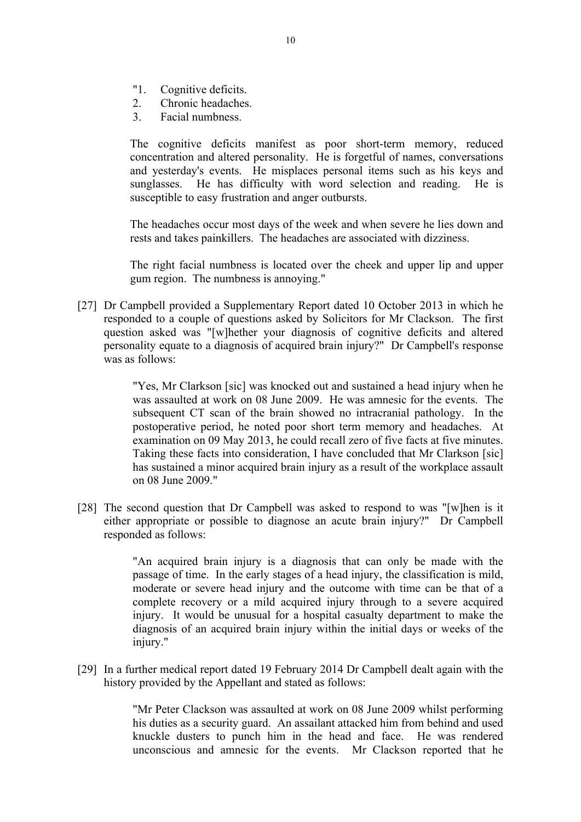- "1. Cognitive deficits.
- 2. Chronic headaches.
- 3. Facial numbness.

The cognitive deficits manifest as poor short-term memory, reduced concentration and altered personality. He is forgetful of names, conversations and yesterday's events. He misplaces personal items such as his keys and sunglasses. He has difficulty with word selection and reading. He is susceptible to easy frustration and anger outbursts.

The headaches occur most days of the week and when severe he lies down and rests and takes painkillers. The headaches are associated with dizziness.

The right facial numbness is located over the cheek and upper lip and upper gum region. The numbness is annoying."

[27] Dr Campbell provided a Supplementary Report dated 10 October 2013 in which he responded to a couple of questions asked by Solicitors for Mr Clackson. The first question asked was "[w]hether your diagnosis of cognitive deficits and altered personality equate to a diagnosis of acquired brain injury?" Dr Campbell's response was as follows:

> "Yes, Mr Clarkson [sic] was knocked out and sustained a head injury when he was assaulted at work on 08 June 2009. He was amnesic for the events. The subsequent CT scan of the brain showed no intracranial pathology. In the postoperative period, he noted poor short term memory and headaches. At examination on 09 May 2013, he could recall zero of five facts at five minutes. Taking these facts into consideration, I have concluded that Mr Clarkson [sic] has sustained a minor acquired brain injury as a result of the workplace assault on 08 June 2009."

[28] The second question that Dr Campbell was asked to respond to was "[w]hen is it either appropriate or possible to diagnose an acute brain injury?" Dr Campbell responded as follows:

> "An acquired brain injury is a diagnosis that can only be made with the passage of time. In the early stages of a head injury, the classification is mild, moderate or severe head injury and the outcome with time can be that of a complete recovery or a mild acquired injury through to a severe acquired injury. It would be unusual for a hospital casualty department to make the diagnosis of an acquired brain injury within the initial days or weeks of the injury."

[29] In a further medical report dated 19 February 2014 Dr Campbell dealt again with the history provided by the Appellant and stated as follows:

> "Mr Peter Clackson was assaulted at work on 08 June 2009 whilst performing his duties as a security guard. An assailant attacked him from behind and used knuckle dusters to punch him in the head and face. He was rendered unconscious and amnesic for the events. Mr Clackson reported that he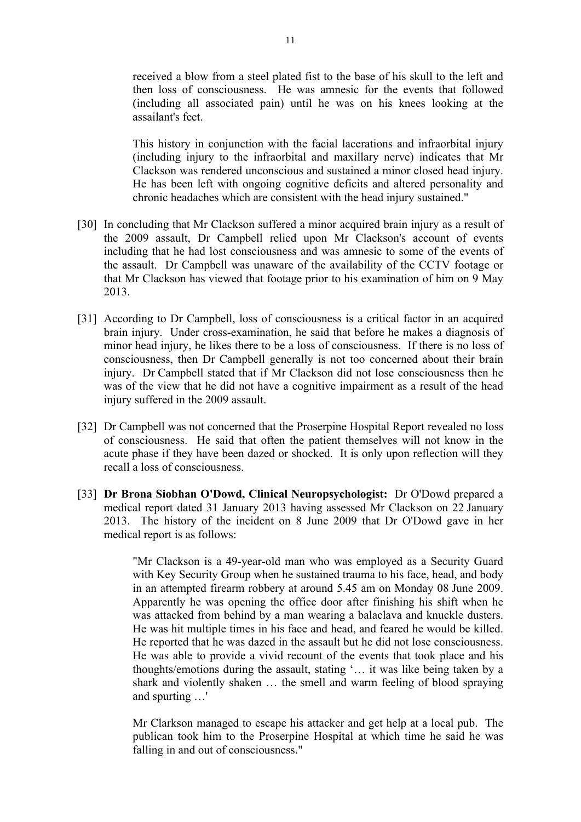received a blow from a steel plated fist to the base of his skull to the left and then loss of consciousness. He was amnesic for the events that followed (including all associated pain) until he was on his knees looking at the assailant's feet.

This history in conjunction with the facial lacerations and infraorbital injury (including injury to the infraorbital and maxillary nerve) indicates that Mr Clackson was rendered unconscious and sustained a minor closed head injury. He has been left with ongoing cognitive deficits and altered personality and chronic headaches which are consistent with the head injury sustained."

- [30] In concluding that Mr Clackson suffered a minor acquired brain injury as a result of the 2009 assault, Dr Campbell relied upon Mr Clackson's account of events including that he had lost consciousness and was amnesic to some of the events of the assault. Dr Campbell was unaware of the availability of the CCTV footage or that Mr Clackson has viewed that footage prior to his examination of him on 9 May 2013.
- [31] According to Dr Campbell, loss of consciousness is a critical factor in an acquired brain injury. Under cross-examination, he said that before he makes a diagnosis of minor head injury, he likes there to be a loss of consciousness. If there is no loss of consciousness, then Dr Campbell generally is not too concerned about their brain injury. Dr Campbell stated that if Mr Clackson did not lose consciousness then he was of the view that he did not have a cognitive impairment as a result of the head injury suffered in the 2009 assault.
- [32] Dr Campbell was not concerned that the Proserpine Hospital Report revealed no loss of consciousness. He said that often the patient themselves will not know in the acute phase if they have been dazed or shocked. It is only upon reflection will they recall a loss of consciousness.
- [33] **Dr Brona Siobhan O'Dowd, Clinical Neuropsychologist:** Dr O'Dowd prepared a medical report dated 31 January 2013 having assessed Mr Clackson on 22 January 2013. The history of the incident on 8 June 2009 that Dr O'Dowd gave in her medical report is as follows:

"Mr Clackson is a 49-year-old man who was employed as a Security Guard with Key Security Group when he sustained trauma to his face, head, and body in an attempted firearm robbery at around 5.45 am on Monday 08 June 2009. Apparently he was opening the office door after finishing his shift when he was attacked from behind by a man wearing a balaclava and knuckle dusters. He was hit multiple times in his face and head, and feared he would be killed. He reported that he was dazed in the assault but he did not lose consciousness. He was able to provide a vivid recount of the events that took place and his thoughts/emotions during the assault, stating '… it was like being taken by a shark and violently shaken … the smell and warm feeling of blood spraying and spurting …'

Mr Clarkson managed to escape his attacker and get help at a local pub. The publican took him to the Proserpine Hospital at which time he said he was falling in and out of consciousness."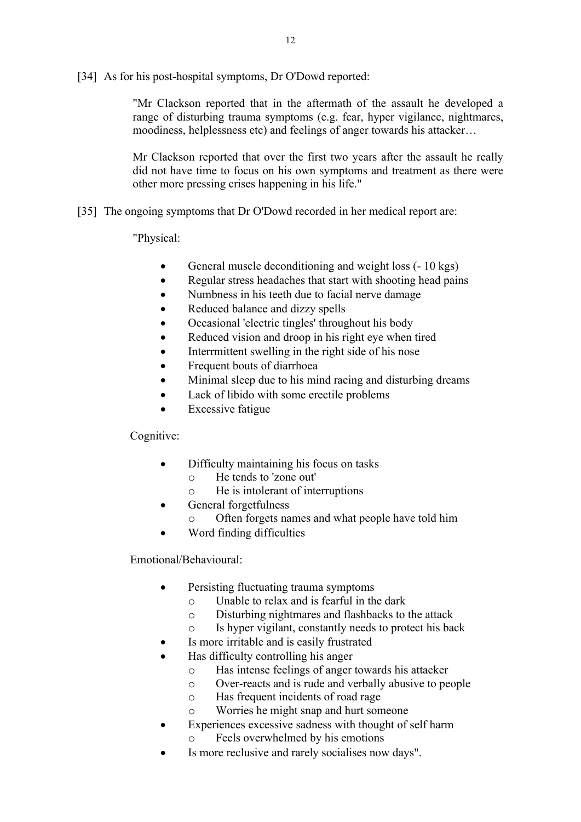[34] As for his post-hospital symptoms, Dr O'Dowd reported:

"Mr Clackson reported that in the aftermath of the assault he developed a range of disturbing trauma symptoms (e.g. fear, hyper vigilance, nightmares, moodiness, helplessness etc) and feelings of anger towards his attacker…

Mr Clackson reported that over the first two years after the assault he really did not have time to focus on his own symptoms and treatment as there were other more pressing crises happening in his life."

[35] The ongoing symptoms that Dr O'Dowd recorded in her medical report are:

"Physical:

- General muscle deconditioning and weight loss (- 10 kgs)
- Regular stress headaches that start with shooting head pains
- Numbness in his teeth due to facial nerve damage
- Reduced balance and dizzy spells
- Occasional 'electric tingles' throughout his body
- Reduced vision and droop in his right eye when tired
- Interrmittent swelling in the right side of his nose
- Frequent bouts of diarrhoea
- Minimal sleep due to his mind racing and disturbing dreams
- Lack of libido with some erectile problems
- Excessive fatigue

Cognitive:

- Difficulty maintaining his focus on tasks
	- o He tends to 'zone out'
	- o He is intolerant of interruptions
- General forgetfulness
	- o Often forgets names and what people have told him
- Word finding difficulties

Emotional/Behavioural:

- Persisting fluctuating trauma symptoms
	- o Unable to relax and is fearful in the dark
	- o Disturbing nightmares and flashbacks to the attack
	- o Is hyper vigilant, constantly needs to protect his back
- Is more irritable and is easily frustrated
- Has difficulty controlling his anger
	- o Has intense feelings of anger towards his attacker
	- o Over-reacts and is rude and verbally abusive to people
	- o Has frequent incidents of road rage
	- o Worries he might snap and hurt someone
- Experiences excessive sadness with thought of self harm
	- o Feels overwhelmed by his emotions
- Is more reclusive and rarely socialises now days".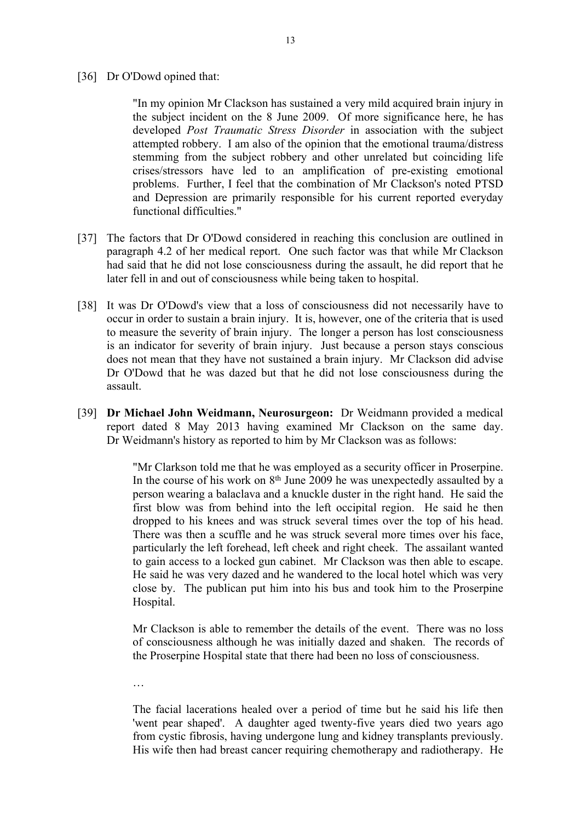[36] Dr O'Dowd opined that:

"In my opinion Mr Clackson has sustained a very mild acquired brain injury in the subject incident on the 8 June 2009. Of more significance here, he has developed *Post Traumatic Stress Disorder* in association with the subject attempted robbery. I am also of the opinion that the emotional trauma/distress stemming from the subject robbery and other unrelated but coinciding life crises/stressors have led to an amplification of pre-existing emotional problems. Further, I feel that the combination of Mr Clackson's noted PTSD and Depression are primarily responsible for his current reported everyday functional difficulties."

- [37] The factors that Dr O'Dowd considered in reaching this conclusion are outlined in paragraph 4.2 of her medical report. One such factor was that while Mr Clackson had said that he did not lose consciousness during the assault, he did report that he later fell in and out of consciousness while being taken to hospital.
- [38] It was Dr O'Dowd's view that a loss of consciousness did not necessarily have to occur in order to sustain a brain injury. It is, however, one of the criteria that is used to measure the severity of brain injury. The longer a person has lost consciousness is an indicator for severity of brain injury. Just because a person stays conscious does not mean that they have not sustained a brain injury. Mr Clackson did advise Dr O'Dowd that he was dazed but that he did not lose consciousness during the assault.
- [39] **Dr Michael John Weidmann, Neurosurgeon:** Dr Weidmann provided a medical report dated 8 May 2013 having examined Mr Clackson on the same day. Dr Weidmann's history as reported to him by Mr Clackson was as follows:

"Mr Clarkson told me that he was employed as a security officer in Proserpine. In the course of his work on  $8<sup>th</sup>$  June 2009 he was unexpectedly assaulted by a person wearing a balaclava and a knuckle duster in the right hand. He said the first blow was from behind into the left occipital region. He said he then dropped to his knees and was struck several times over the top of his head. There was then a scuffle and he was struck several more times over his face, particularly the left forehead, left cheek and right cheek. The assailant wanted to gain access to a locked gun cabinet. Mr Clackson was then able to escape. He said he was very dazed and he wandered to the local hotel which was very close by. The publican put him into his bus and took him to the Proserpine Hospital.

Mr Clackson is able to remember the details of the event. There was no loss of consciousness although he was initially dazed and shaken. The records of the Proserpine Hospital state that there had been no loss of consciousness.

…

The facial lacerations healed over a period of time but he said his life then 'went pear shaped'. A daughter aged twenty-five years died two years ago from cystic fibrosis, having undergone lung and kidney transplants previously. His wife then had breast cancer requiring chemotherapy and radiotherapy. He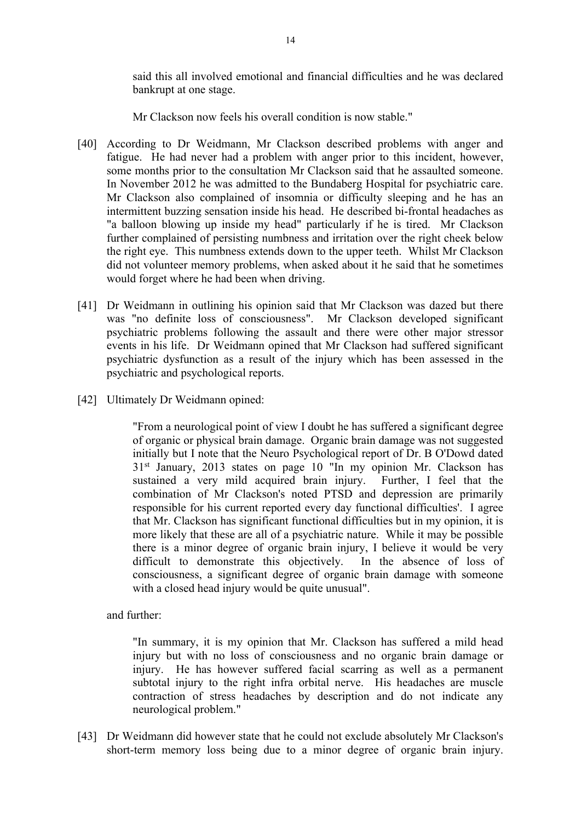said this all involved emotional and financial difficulties and he was declared bankrupt at one stage.

Mr Clackson now feels his overall condition is now stable."

- [40] According to Dr Weidmann, Mr Clackson described problems with anger and fatigue. He had never had a problem with anger prior to this incident, however, some months prior to the consultation Mr Clackson said that he assaulted someone. In November 2012 he was admitted to the Bundaberg Hospital for psychiatric care. Mr Clackson also complained of insomnia or difficulty sleeping and he has an intermittent buzzing sensation inside his head. He described bi-frontal headaches as "a balloon blowing up inside my head" particularly if he is tired. Mr Clackson further complained of persisting numbness and irritation over the right cheek below the right eye. This numbness extends down to the upper teeth. Whilst Mr Clackson did not volunteer memory problems, when asked about it he said that he sometimes would forget where he had been when driving.
- [41] Dr Weidmann in outlining his opinion said that Mr Clackson was dazed but there was "no definite loss of consciousness". Mr Clackson developed significant psychiatric problems following the assault and there were other major stressor events in his life. Dr Weidmann opined that Mr Clackson had suffered significant psychiatric dysfunction as a result of the injury which has been assessed in the psychiatric and psychological reports.
- [42] Ultimately Dr Weidmann opined:

"From a neurological point of view I doubt he has suffered a significant degree of organic or physical brain damage. Organic brain damage was not suggested initially but I note that the Neuro Psychological report of Dr. B O'Dowd dated 31st January, 2013 states on page 10 "In my opinion Mr. Clackson has sustained a very mild acquired brain injury. Further, I feel that the combination of Mr Clackson's noted PTSD and depression are primarily responsible for his current reported every day functional difficulties'. I agree that Mr. Clackson has significant functional difficulties but in my opinion, it is more likely that these are all of a psychiatric nature. While it may be possible there is a minor degree of organic brain injury, I believe it would be very difficult to demonstrate this objectively. In the absence of loss of consciousness, a significant degree of organic brain damage with someone with a closed head injury would be quite unusual".

and further:

"In summary, it is my opinion that Mr. Clackson has suffered a mild head injury but with no loss of consciousness and no organic brain damage or injury. He has however suffered facial scarring as well as a permanent subtotal injury to the right infra orbital nerve. His headaches are muscle contraction of stress headaches by description and do not indicate any neurological problem."

[43] Dr Weidmann did however state that he could not exclude absolutely Mr Clackson's short-term memory loss being due to a minor degree of organic brain injury.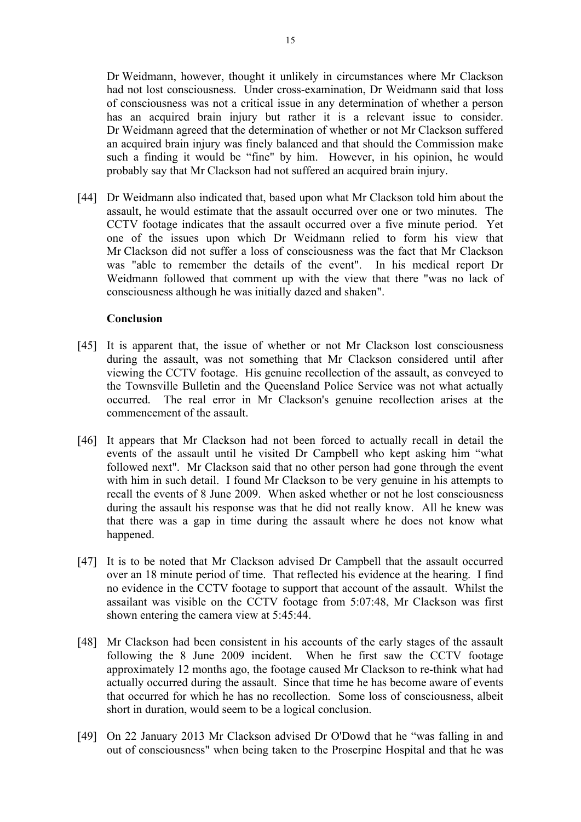Dr Weidmann, however, thought it unlikely in circumstances where Mr Clackson had not lost consciousness. Under cross-examination, Dr Weidmann said that loss of consciousness was not a critical issue in any determination of whether a person has an acquired brain injury but rather it is a relevant issue to consider. Dr Weidmann agreed that the determination of whether or not Mr Clackson suffered an acquired brain injury was finely balanced and that should the Commission make such a finding it would be "fine" by him. However, in his opinion, he would probably say that Mr Clackson had not suffered an acquired brain injury.

[44] Dr Weidmann also indicated that, based upon what Mr Clackson told him about the assault, he would estimate that the assault occurred over one or two minutes. The CCTV footage indicates that the assault occurred over a five minute period. Yet one of the issues upon which Dr Weidmann relied to form his view that Mr Clackson did not suffer a loss of consciousness was the fact that Mr Clackson was "able to remember the details of the event". In his medical report Dr Weidmann followed that comment up with the view that there "was no lack of consciousness although he was initially dazed and shaken".

## **Conclusion**

- [45] It is apparent that, the issue of whether or not Mr Clackson lost consciousness during the assault, was not something that Mr Clackson considered until after viewing the CCTV footage. His genuine recollection of the assault, as conveyed to the Townsville Bulletin and the Queensland Police Service was not what actually occurred. The real error in Mr Clackson's genuine recollection arises at the commencement of the assault.
- [46] It appears that Mr Clackson had not been forced to actually recall in detail the events of the assault until he visited Dr Campbell who kept asking him "what followed next". Mr Clackson said that no other person had gone through the event with him in such detail. I found Mr Clackson to be very genuine in his attempts to recall the events of 8 June 2009. When asked whether or not he lost consciousness during the assault his response was that he did not really know. All he knew was that there was a gap in time during the assault where he does not know what happened.
- [47] It is to be noted that Mr Clackson advised Dr Campbell that the assault occurred over an 18 minute period of time. That reflected his evidence at the hearing. I find no evidence in the CCTV footage to support that account of the assault. Whilst the assailant was visible on the CCTV footage from 5:07:48, Mr Clackson was first shown entering the camera view at 5:45:44.
- [48] Mr Clackson had been consistent in his accounts of the early stages of the assault following the 8 June 2009 incident. When he first saw the CCTV footage approximately 12 months ago, the footage caused Mr Clackson to re-think what had actually occurred during the assault. Since that time he has become aware of events that occurred for which he has no recollection. Some loss of consciousness, albeit short in duration, would seem to be a logical conclusion.
- [49] On 22 January 2013 Mr Clackson advised Dr O'Dowd that he "was falling in and out of consciousness" when being taken to the Proserpine Hospital and that he was